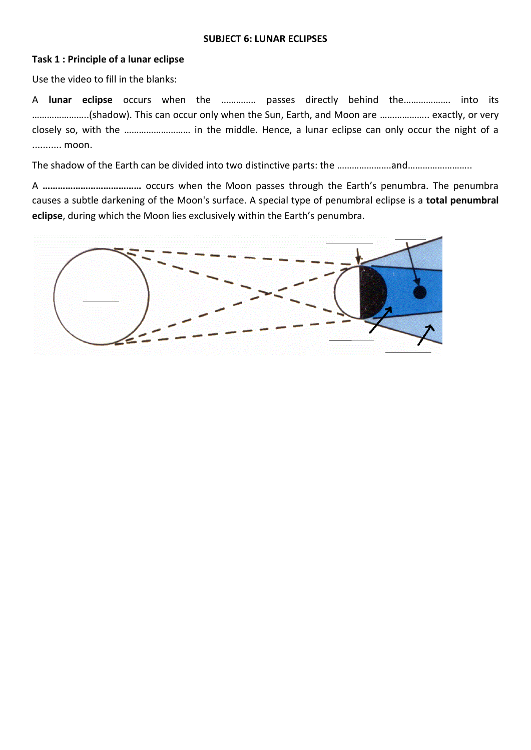## **SUBJECT 6: LUNAR ECLIPSES**

## **Task 1 : Principle of a lunar eclipse**

Use the video to fill in the blanks:

A **lunar eclipse** occurs when the ………….. passes directly behind the………………. into its …………………..(shadow). This can occur only when the Sun, Earth, and Moon are ……………….. exactly, or very closely so, with the ……………………… in the middle. Hence, a lunar eclipse can only occur the night of a ........... moon.

The shadow of the Earth can be divided into two distinctive parts: the ……………………and………………………

A **…………………………………** occurs when the Moon passes through the Earth's penumbra. The penumbra causes a subtle darkening of the Moon's surface. A special type of penumbral eclipse is a **total penumbral eclipse**, during which the Moon lies exclusively within the Earth's penumbra.

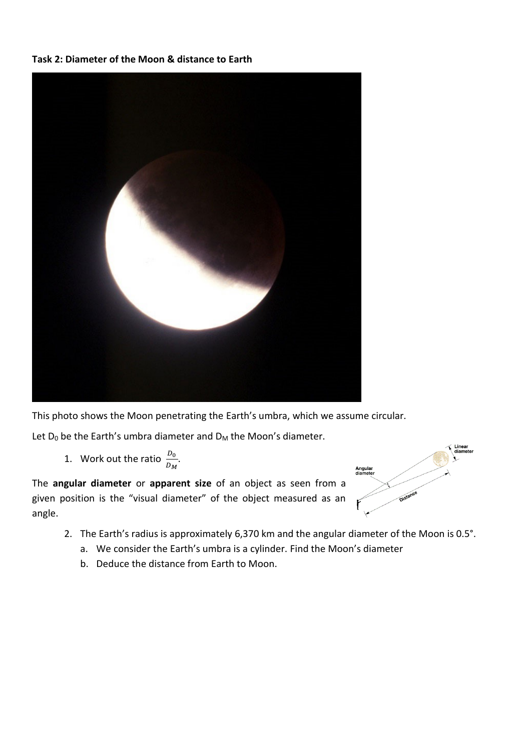## **Task 2: Diameter of the Moon & distance to Earth**



This photo shows the Moon penetrating the Earth's umbra, which we assume circular.

Let  $D_0$  be the Earth's umbra diameter and  $D_M$  the Moon's diameter.

1. Work out the ratio  $\frac{D_0}{D_M}$ .

The **angular diameter** or **apparent size** of an object as seen from a given position is the "visual diameter" of the object measured as an angle.



- 2. The Earth's radius is approximately 6,370 km and the angular diameter of the Moon is 0.5°.
	- a. We consider the Earth's umbra is a cylinder. Find the Moon's diameter
	- b. Deduce the distance from Earth to Moon.